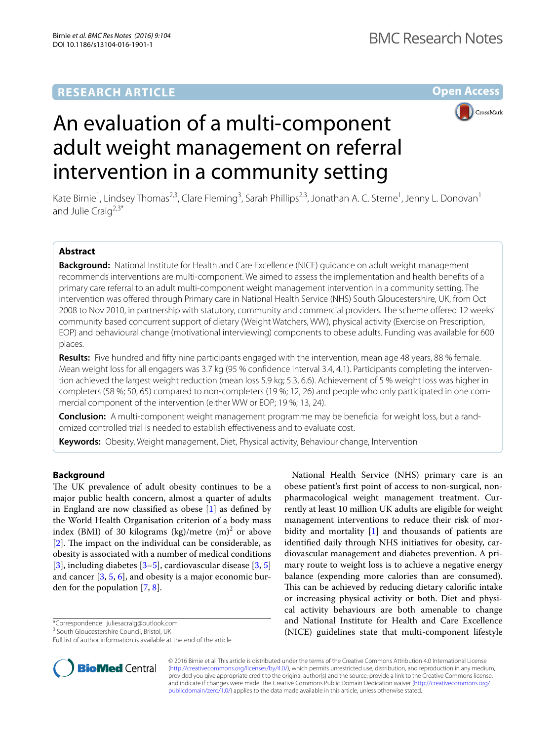# **RESEARCH ARTICLE**

**Open Access**



# An evaluation of a multi-component adult weight management on referral intervention in a community setting

Kate Birnie<sup>1</sup>, Lindsey Thomas<sup>2,3</sup>, Clare Fleming<sup>3</sup>, Sarah Phillips<sup>2,3</sup>, Jonathan A. C. Sterne<sup>1</sup>, Jenny L. Donovan<sup>1</sup> and Julie Craig<sup>2,3\*</sup>

# **Abstract**

**Background:** National Institute for Health and Care Excellence (NICE) guidance on adult weight management recommends interventions are multi-component. We aimed to assess the implementation and health benefits of a primary care referral to an adult multi-component weight management intervention in a community setting. The intervention was offered through Primary care in National Health Service (NHS) South Gloucestershire, UK, from Oct 2008 to Nov 2010, in partnership with statutory, community and commercial providers. The scheme offered 12 weeks' community based concurrent support of dietary (Weight Watchers, WW), physical activity (Exercise on Prescription, EOP) and behavioural change (motivational interviewing) components to obese adults. Funding was available for 600 places.

**Results:** Five hundred and fifty nine participants engaged with the intervention, mean age 48 years, 88 % female. Mean weight loss for all engagers was 3.7 kg (95 % confidence interval 3.4, 4.1). Participants completing the intervention achieved the largest weight reduction (mean loss 5.9 kg; 5.3, 6.6). Achievement of 5 % weight loss was higher in completers (58 %; 50, 65) compared to non-completers (19 %; 12, 26) and people who only participated in one commercial component of the intervention (either WW or EOP; 19 %; 13, 24).

**Conclusion:** A multi-component weight management programme may be beneficial for weight loss, but a randomized controlled trial is needed to establish effectiveness and to evaluate cost.

**Keywords:** Obesity, Weight management, Diet, Physical activity, Behaviour change, Intervention

# **Background**

The UK prevalence of adult obesity continues to be a major public health concern, almost a quarter of adults in England are now classified as obese [[1\]](#page-7-0) as defined by the World Health Organisation criterion of a body mass index (BMI) of 30 kilograms (kg)/metre  $(m)^2$  or above [[2\]](#page-7-1). The impact on the individual can be considerable, as obesity is associated with a number of medical conditions [[3\]](#page-7-2), including diabetes [[3–](#page-7-2)[5](#page-7-3)], cardiovascular disease [[3,](#page-7-2) [5](#page-7-3)] and cancer  $[3, 5, 6]$  $[3, 5, 6]$  $[3, 5, 6]$  $[3, 5, 6]$  $[3, 5, 6]$  $[3, 5, 6]$  $[3, 5, 6]$ , and obesity is a major economic burden for the population [[7,](#page-7-5) [8](#page-7-6)].

\*Correspondence: juliesacraig@outlook.com

<sup>3</sup> South Gloucestershire Council, Bristol, UK

Full list of author information is available at the end of the article



pharmacological weight management treatment. Currently at least 10 million UK adults are eligible for weight management interventions to reduce their risk of mor-bidity and mortality [[1\]](#page-7-0) and thousands of patients are identified daily through NHS initiatives for obesity, cardiovascular management and diabetes prevention. A primary route to weight loss is to achieve a negative energy balance (expending more calories than are consumed). This can be achieved by reducing dietary calorific intake or increasing physical activity or both. Diet and physical activity behaviours are both amenable to change and National Institute for Health and Care Excellence (NICE) guidelines state that multi-component lifestyle

National Health Service (NHS) primary care is an obese patient's first point of access to non-surgical, non-



© 2016 Birnie et al. This article is distributed under the terms of the Creative Commons Attribution 4.0 International License [\(http://creativecommons.org/licenses/by/4.0/\)](http://creativecommons.org/licenses/by/4.0/), which permits unrestricted use, distribution, and reproduction in any medium, provided you give appropriate credit to the original author(s) and the source, provide a link to the Creative Commons license, and indicate if changes were made. The Creative Commons Public Domain Dedication waiver ([http://creativecommons.org/](http://creativecommons.org/publicdomain/zero/1.0/) [publicdomain/zero/1.0/](http://creativecommons.org/publicdomain/zero/1.0/)) applies to the data made available in this article, unless otherwise stated.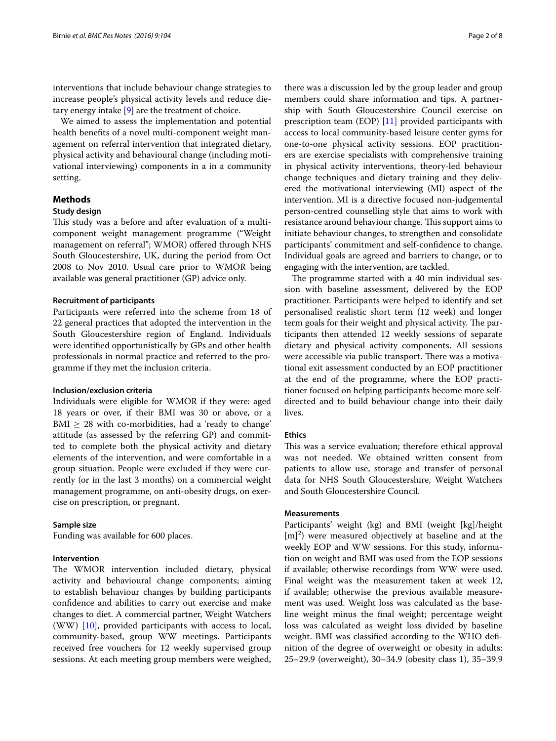interventions that include behaviour change strategies to increase people's physical activity levels and reduce dietary energy intake [[9\]](#page-7-7) are the treatment of choice.

We aimed to assess the implementation and potential health benefits of a novel multi-component weight management on referral intervention that integrated dietary, physical activity and behavioural change (including motivational interviewing) components in a in a community setting.

# **Methods**

## **Study design**

This study was a before and after evaluation of a multicomponent weight management programme ("Weight management on referral"; WMOR) offered through NHS South Gloucestershire, UK, during the period from Oct 2008 to Nov 2010. Usual care prior to WMOR being available was general practitioner (GP) advice only.

## **Recruitment of participants**

Participants were referred into the scheme from 18 of 22 general practices that adopted the intervention in the South Gloucestershire region of England. Individuals were identified opportunistically by GPs and other health professionals in normal practice and referred to the programme if they met the inclusion criteria.

### **Inclusion/exclusion criteria**

Individuals were eligible for WMOR if they were: aged 18 years or over, if their BMI was 30 or above, or a  $BMI \geq 28$  with co-morbidities, had a 'ready to change' attitude (as assessed by the referring GP) and committed to complete both the physical activity and dietary elements of the intervention, and were comfortable in a group situation. People were excluded if they were currently (or in the last 3 months) on a commercial weight management programme, on anti-obesity drugs, on exercise on prescription, or pregnant.

# **Sample size**

Funding was available for 600 places.

# **Intervention**

The WMOR intervention included dietary, physical activity and behavioural change components; aiming to establish behaviour changes by building participants confidence and abilities to carry out exercise and make changes to diet. A commercial partner, Weight Watchers (WW) [\[10](#page-7-8)], provided participants with access to local, community-based, group WW meetings. Participants received free vouchers for 12 weekly supervised group sessions. At each meeting group members were weighed,

there was a discussion led by the group leader and group members could share information and tips. A partnership with South Gloucestershire Council exercise on prescription team (EOP) [[11\]](#page-7-9) provided participants with access to local community-based leisure center gyms for one-to-one physical activity sessions. EOP practitioners are exercise specialists with comprehensive training in physical activity interventions, theory-led behaviour change techniques and dietary training and they delivered the motivational interviewing (MI) aspect of the intervention. MI is a directive focused non-judgemental person-centred counselling style that aims to work with resistance around behaviour change. This support aims to initiate behaviour changes, to strengthen and consolidate participants' commitment and self-confidence to change. Individual goals are agreed and barriers to change, or to engaging with the intervention, are tackled.

The programme started with a 40 min individual session with baseline assessment, delivered by the EOP practitioner. Participants were helped to identify and set personalised realistic short term (12 week) and longer term goals for their weight and physical activity. The participants then attended 12 weekly sessions of separate dietary and physical activity components. All sessions were accessible via public transport. There was a motivational exit assessment conducted by an EOP practitioner at the end of the programme, where the EOP practitioner focused on helping participants become more selfdirected and to build behaviour change into their daily lives.

## **Ethics**

This was a service evaluation; therefore ethical approval was not needed. We obtained written consent from patients to allow use, storage and transfer of personal data for NHS South Gloucestershire, Weight Watchers and South Gloucestershire Council.

# **Measurements**

Participants' weight (kg) and BMI (weight [kg]/height [m]<sup>2</sup>) were measured objectively at baseline and at the weekly EOP and WW sessions. For this study, information on weight and BMI was used from the EOP sessions if available; otherwise recordings from WW were used. Final weight was the measurement taken at week 12, if available; otherwise the previous available measurement was used. Weight loss was calculated as the baseline weight minus the final weight; percentage weight loss was calculated as weight loss divided by baseline weight. BMI was classified according to the WHO definition of the degree of overweight or obesity in adults: 25–29.9 (overweight), 30–34.9 (obesity class 1), 35–39.9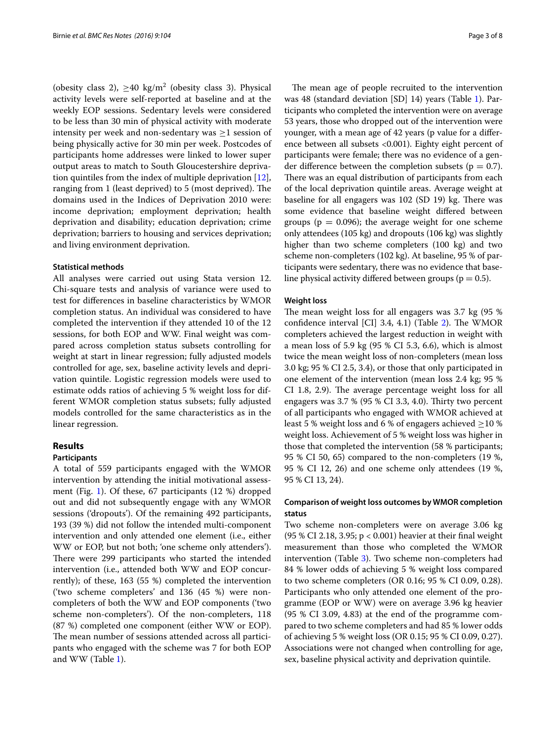(obesity class 2),  $\geq$  40 kg/m<sup>2</sup> (obesity class 3). Physical activity levels were self-reported at baseline and at the weekly EOP sessions. Sedentary levels were considered to be less than 30 min of physical activity with moderate intensity per week and non-sedentary was  $\geq 1$  session of being physically active for 30 min per week. Postcodes of participants home addresses were linked to lower super output areas to match to South Gloucestershire deprivation quintiles from the index of multiple deprivation [\[12](#page-7-10)], ranging from 1 (least deprived) to 5 (most deprived). The domains used in the Indices of Deprivation 2010 were: income deprivation; employment deprivation; health deprivation and disability; education deprivation; crime deprivation; barriers to housing and services deprivation; and living environment deprivation.

## **Statistical methods**

All analyses were carried out using Stata version 12. Chi-square tests and analysis of variance were used to test for differences in baseline characteristics by WMOR completion status. An individual was considered to have completed the intervention if they attended 10 of the 12 sessions, for both EOP and WW. Final weight was compared across completion status subsets controlling for weight at start in linear regression; fully adjusted models controlled for age, sex, baseline activity levels and deprivation quintile. Logistic regression models were used to estimate odds ratios of achieving 5 % weight loss for different WMOR completion status subsets; fully adjusted models controlled for the same characteristics as in the linear regression.

# **Results**

## **Participants**

A total of 559 participants engaged with the WMOR intervention by attending the initial motivational assessment (Fig. [1](#page-3-0)). Of these, 67 participants (12 %) dropped out and did not subsequently engage with any WMOR sessions ('dropouts'). Of the remaining 492 participants, 193 (39 %) did not follow the intended multi-component intervention and only attended one element (i.e., either WW or EOP, but not both; 'one scheme only attenders'). There were 299 participants who started the intended intervention (i.e., attended both WW and EOP concurrently); of these, 163 (55 %) completed the intervention ('two scheme completers' and 136 (45 %) were noncompleters of both the WW and EOP components ('two scheme non-completers'). Of the non-completers, 118 (87 %) completed one component (either WW or EOP). The mean number of sessions attended across all participants who engaged with the scheme was 7 for both EOP and WW (Table [1](#page-4-0)).

The mean age of people recruited to the intervention was 48 (standard deviation [SD] 14) years (Table [1](#page-4-0)). Participants who completed the intervention were on average 53 years, those who dropped out of the intervention were younger, with a mean age of 42 years (p value for a difference between all subsets <0.001). Eighty eight percent of participants were female; there was no evidence of a gender difference between the completion subsets ( $p = 0.7$ ). There was an equal distribution of participants from each of the local deprivation quintile areas. Average weight at baseline for all engagers was 102 (SD 19) kg. There was some evidence that baseline weight differed between groups ( $p = 0.096$ ); the average weight for one scheme only attendees (105 kg) and dropouts (106 kg) was slightly higher than two scheme completers (100 kg) and two scheme non-completers (102 kg). At baseline, 95 % of participants were sedentary, there was no evidence that baseline physical activity differed between groups ( $p = 0.5$ ).

#### **Weight loss**

The mean weight loss for all engagers was 3.7 kg (95 % confidence interval [CI] 3.4, 4.1) (Table [2\)](#page-4-1). The WMOR completers achieved the largest reduction in weight with a mean loss of 5.9 kg (95 % CI 5.3, 6.6), which is almost twice the mean weight loss of non-completers (mean loss 3.0 kg; 95 % CI 2.5, 3.4), or those that only participated in one element of the intervention (mean loss 2.4 kg; 95 % CI 1.8, 2.9). The average percentage weight loss for all engagers was 3.7 % (95 % CI 3.3, 4.0). Thirty two percent of all participants who engaged with WMOR achieved at least 5 % weight loss and 6 % of engagers achieved  $\geq$  10 % weight loss. Achievement of 5 % weight loss was higher in those that completed the intervention (58 % participants; 95 % CI 50, 65) compared to the non-completers (19 %, 95 % CI 12, 26) and one scheme only attendees (19 %, 95 % CI 13, 24).

# **Comparison of weight loss outcomes by WMOR completion status**

Two scheme non-completers were on average 3.06 kg (95 % CI 2.18, 3.95; p < 0.001) heavier at their final weight measurement than those who completed the WMOR intervention (Table [3](#page-5-0)). Two scheme non-completers had 84 % lower odds of achieving 5 % weight loss compared to two scheme completers (OR 0.16; 95 % CI 0.09, 0.28). Participants who only attended one element of the programme (EOP or WW) were on average 3.96 kg heavier (95 % CI 3.09, 4.83) at the end of the programme compared to two scheme completers and had 85 % lower odds of achieving 5 % weight loss (OR 0.15; 95 % CI 0.09, 0.27). Associations were not changed when controlling for age, sex, baseline physical activity and deprivation quintile.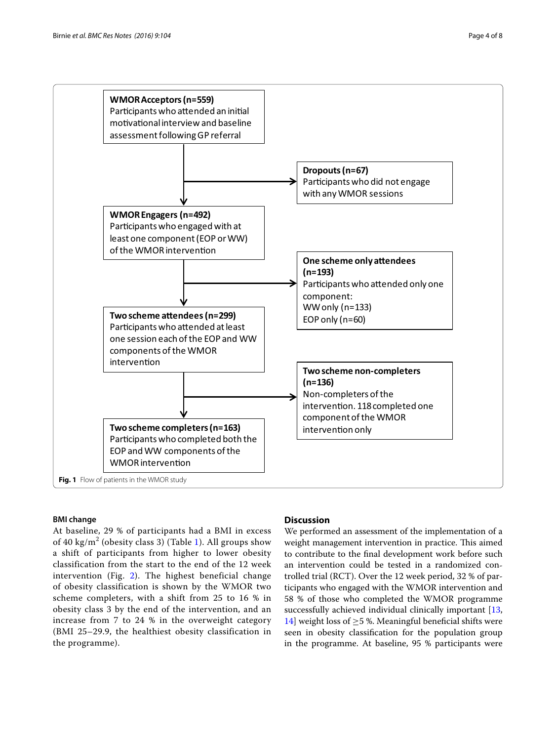

# <span id="page-3-0"></span>**BMI change**

At baseline, 29 % of participants had a BMI in excess of 40 kg/m<sup>2</sup> (obesity class 3) (Table [1](#page-4-0)). All groups show a shift of participants from higher to lower obesity classification from the start to the end of the 12 week intervention (Fig. [2](#page-5-1)). The highest beneficial change of obesity classification is shown by the WMOR two scheme completers, with a shift from 25 to 16 % in obesity class 3 by the end of the intervention, and an increase from 7 to 24 % in the overweight category (BMI 25–29.9, the healthiest obesity classification in the programme).

# **Discussion**

We performed an assessment of the implementation of a weight management intervention in practice. This aimed to contribute to the final development work before such an intervention could be tested in a randomized controlled trial (RCT). Over the 12 week period, 32 % of participants who engaged with the WMOR intervention and 58 % of those who completed the WMOR programme successfully achieved individual clinically important [[13](#page-7-11), [14\]](#page-7-12) weight loss of  $\geq$  5%. Meaningful beneficial shifts were seen in obesity classification for the population group in the programme. At baseline, 95 % participants were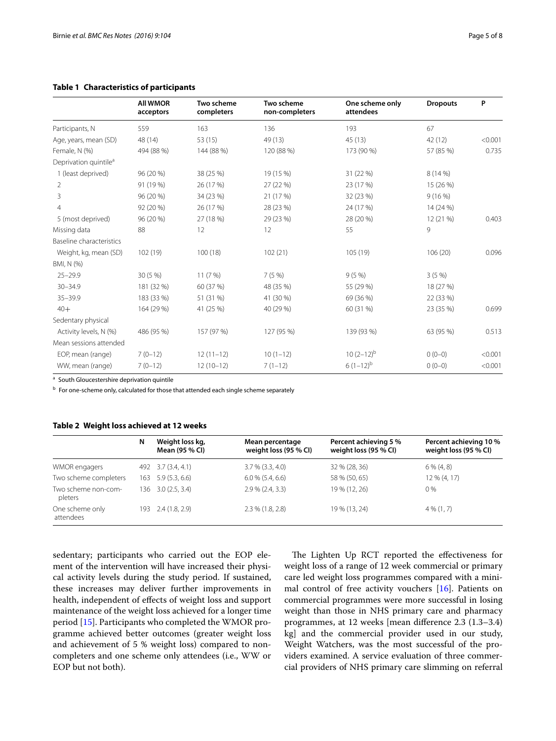|                                   | <b>All WMOR</b><br>acceptors | Two scheme<br>completers | Two scheme<br>non-completers | One scheme only<br>attendees | <b>Dropouts</b> | P       |
|-----------------------------------|------------------------------|--------------------------|------------------------------|------------------------------|-----------------|---------|
| Participants, N                   | 559                          | 163                      | 136                          | 193                          | 67              |         |
| Age, years, mean (SD)             | 48 (14)                      | 53(15)                   | 49 (13)                      | 45 (13)                      | 42 (12)         | < 0.001 |
| Female, N (%)                     | 494 (88 %)                   | 144 (88 %)               | 120 (88 %)                   | 173 (90 %)                   | 57 (85 %)       | 0.735   |
| Deprivation quintile <sup>a</sup> |                              |                          |                              |                              |                 |         |
| 1 (least deprived)                | 96 (20 %)                    | 38 (25 %)                | 19 (15 %)                    | 31 (22 %)                    | 8 (14 %)        |         |
| 2                                 | 91 (19 %)                    | 26 (17 %)                | 27 (22 %)                    | 23 (17 %)                    | 15 (26 %)       |         |
| 3                                 | 96 (20 %)                    | 34 (23 %)                | 21 (17 %)                    | 32 (23 %)                    | 9(16%)          |         |
| $\overline{4}$                    | 92 (20 %)                    | 26 (17 %)                | 28 (23 %)                    | 24 (17 %)                    | 14 (24 %)       |         |
| 5 (most deprived)                 | 96 (20 %)                    | 27 (18 %)                | 29 (23 %)                    | 28 (20 %)                    | 12 (21 %)       | 0.403   |
| Missing data                      | 88                           | 12                       | 12                           | 55                           | 9               |         |
| Baseline characteristics          |                              |                          |                              |                              |                 |         |
| Weight, kg, mean (SD)             | 102(19)                      | 100(18)                  | 102(21)                      | 105 (19)                     | 106(20)         | 0.096   |
| BMI, N (%)                        |                              |                          |                              |                              |                 |         |
| $25 - 29.9$                       | 30 (5 %)                     | 11(7%)                   | 7(5%)                        | $9(5\%)$                     | 3(5%            |         |
| $30 - 34.9$                       | 181 (32 %)                   | 60 (37 %)                | 48 (35 %)                    | 55 (29 %)                    | 18 (27 %)       |         |
| $35 - 39.9$                       | 183 (33 %)                   | 51 (31 %)                | 41 (30 %)                    | 69 (36 %)                    | 22 (33 %)       |         |
| $40+$                             | 164 (29 %)                   | 41 (25 %)                | 40 (29 %)                    | 60 (31 %)                    | 23 (35 %)       | 0.699   |
| Sedentary physical                |                              |                          |                              |                              |                 |         |
| Activity levels, N (%)            | 486 (95 %)                   | 157 (97 %)               | 127 (95 %)                   | 139 (93 %)                   | 63 (95 %)       | 0.513   |
| Mean sessions attended            |                              |                          |                              |                              |                 |         |
| EOP, mean (range)                 | $7(0-12)$                    | $12(11-12)$              | $10(1-12)$                   | $10(2-12)^{b}$               | $0(0-0)$        | < 0.001 |
| WW, mean (range)                  | $7(0-12)$                    | $12(10-12)$              | $7(1-12)$                    | $6(1-12)^{b}$                | $0(0-0)$        | < 0.001 |

## <span id="page-4-0"></span>**Table 1 Characteristics of participants**

<sup>a</sup> South Gloucestershire deprivation quintile

<sup>b</sup> For one-scheme only, calculated for those that attended each single scheme separately

## <span id="page-4-1"></span>**Table 2 Weight loss achieved at 12 weeks**

| N  | Weight loss kg,<br>Mean (95 % CI) | Mean percentage<br>weight loss (95 % CI)                                        | Percent achieving 5 %<br>weight loss (95 % CI) | Percent achieving 10 %<br>weight loss (95 % CI) |
|----|-----------------------------------|---------------------------------------------------------------------------------|------------------------------------------------|-------------------------------------------------|
|    |                                   | $3.7\%$ (3.3, 4.0)                                                              | 32 % (28, 36)                                  | $6\%$ (4, 8)                                    |
|    |                                   | $6.0\%$ (5.4, 6.6)                                                              | 58 % (50, 65)                                  | 12 % (4, 17)                                    |
| 36 |                                   | $2.9\%$ (2.4, 3.3)                                                              | 19 % (12, 26)                                  | 0 %                                             |
|    |                                   | $2.3\%$ (1.8, 2.8)                                                              | 19 % (13, 24)                                  | $4\%$ (1, 7)                                    |
|    |                                   | 492 3.7 (3.4, 4.1)<br>163 5.9 (5.3, 6.6)<br>3.0(2.5, 3.4)<br>193 2.4 (1.8, 2.9) |                                                |                                                 |

sedentary; participants who carried out the EOP element of the intervention will have increased their physical activity levels during the study period. If sustained, these increases may deliver further improvements in health, independent of effects of weight loss and support maintenance of the weight loss achieved for a longer time period [[15\]](#page-7-13). Participants who completed the WMOR programme achieved better outcomes (greater weight loss and achievement of 5 % weight loss) compared to noncompleters and one scheme only attendees (i.e., WW or EOP but not both).

The Lighten Up RCT reported the effectiveness for weight loss of a range of 12 week commercial or primary care led weight loss programmes compared with a minimal control of free activity vouchers [[16\]](#page-7-14). Patients on commercial programmes were more successful in losing weight than those in NHS primary care and pharmacy programmes, at 12 weeks [mean difference 2.3 (1.3–3.4) kg] and the commercial provider used in our study, Weight Watchers, was the most successful of the providers examined. A service evaluation of three commercial providers of NHS primary care slimming on referral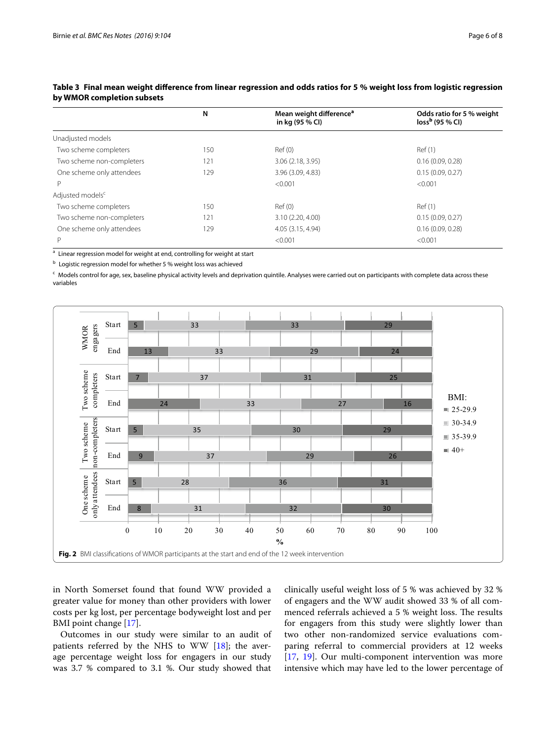| N   | Mean weight difference <sup>a</sup> | Odds ratio for 5 % weight<br>$lossb$ (95 % CI) |
|-----|-------------------------------------|------------------------------------------------|
|     |                                     |                                                |
|     |                                     |                                                |
| 150 | Ref(0)                              | Ref(1)                                         |
| 121 | 3.06 (2.18, 3.95)                   | 0.16(0.09, 0.28)                               |
| 129 | 3.96 (3.09, 4.83)                   | 0.15(0.09, 0.27)                               |
|     | < 0.001                             | < 0.001                                        |
|     |                                     |                                                |
| 150 | Ref(0)                              | Ref (1)                                        |
| 121 | 3.10 (2.20, 4.00)                   | 0.15(0.09, 0.27)                               |
| 129 | 4.05 (3.15, 4.94)                   | 0.16(0.09, 0.28)                               |
|     | < 0.001                             | < 0.001                                        |
|     |                                     | in kg (95 % CI)                                |

# <span id="page-5-0"></span>**Table 3 Final mean weight difference from linear regression and odds ratios for 5 % weight loss from logistic regression by WMOR completion subsets**

 $\overline{a}$  Linear regression model for weight at end, controlling for weight at start

 $<sup>b</sup>$  Logistic regression model for whether 5 % weight loss was achieved</sup>

c Models control for age, sex, baseline physical activity levels and deprivation quintile. Analyses were carried out on participants with complete data across these variables



<span id="page-5-1"></span>in North Somerset found that found WW provided a greater value for money than other providers with lower costs per kg lost, per percentage bodyweight lost and per BMI point change [[17\]](#page-7-15).

Outcomes in our study were similar to an audit of patients referred by the NHS to WW [[18\]](#page-7-16); the average percentage weight loss for engagers in our study was 3.7 % compared to 3.1 %. Our study showed that

clinically useful weight loss of 5 % was achieved by 32 % of engagers and the WW audit showed 33 % of all commenced referrals achieved a 5 % weight loss. The results for engagers from this study were slightly lower than two other non-randomized service evaluations comparing referral to commercial providers at 12 weeks [[17,](#page-7-15) [19](#page-7-17)]. Our multi-component intervention was more intensive which may have led to the lower percentage of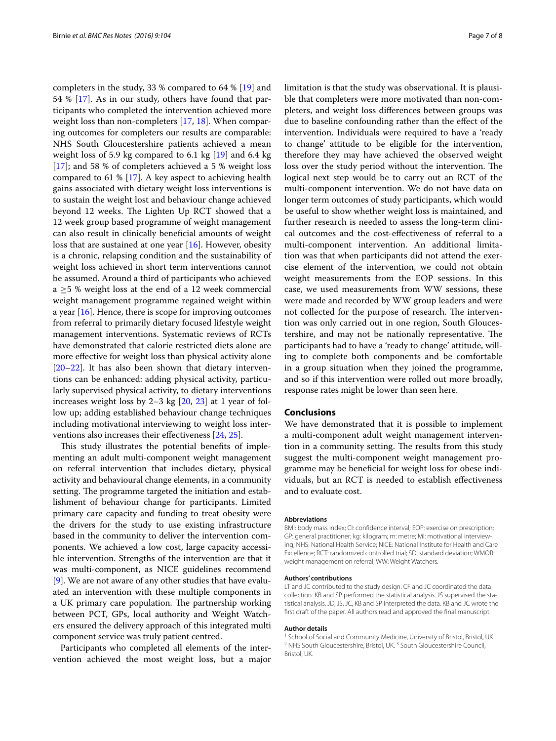completers in the study, 33 % compared to 64 % [[19](#page-7-17)] and 54 % [[17\]](#page-7-15). As in our study, others have found that participants who completed the intervention achieved more weight loss than non-completers [[17,](#page-7-15) [18](#page-7-16)]. When comparing outcomes for completers our results are comparable: NHS South Gloucestershire patients achieved a mean weight loss of 5.9 kg compared to 6.1 kg [\[19](#page-7-17)] and 6.4 kg [[17\]](#page-7-15); and 58 % of completers achieved a 5 % weight loss compared to 61 % [[17\]](#page-7-15). A key aspect to achieving health gains associated with dietary weight loss interventions is to sustain the weight lost and behaviour change achieved beyond 12 weeks. The Lighten Up RCT showed that a 12 week group based programme of weight management can also result in clinically beneficial amounts of weight loss that are sustained at one year [\[16\]](#page-7-14). However, obesity is a chronic, relapsing condition and the sustainability of weight loss achieved in short term interventions cannot be assumed. Around a third of participants who achieved a  $\geq$  5 % weight loss at the end of a 12 week commercial weight management programme regained weight within a year  $[16]$ . Hence, there is scope for improving outcomes from referral to primarily dietary focused lifestyle weight management interventions. Systematic reviews of RCTs have demonstrated that calorie restricted diets alone are more effective for weight loss than physical activity alone [[20–](#page-7-18)[22](#page-7-19)]. It has also been shown that dietary interventions can be enhanced: adding physical activity, particularly supervised physical activity, to dietary interventions increases weight loss by 2–3 kg [\[20](#page-7-18), [23](#page-7-20)] at 1 year of follow up; adding established behaviour change techniques including motivational interviewing to weight loss interventions also increases their effectiveness [[24,](#page-7-21) [25\]](#page-7-22).

This study illustrates the potential benefits of implementing an adult multi-component weight management on referral intervention that includes dietary, physical activity and behavioural change elements, in a community setting. The programme targeted the initiation and establishment of behaviour change for participants. Limited primary care capacity and funding to treat obesity were the drivers for the study to use existing infrastructure based in the community to deliver the intervention components. We achieved a low cost, large capacity accessible intervention. Strengths of the intervention are that it was multi-component, as NICE guidelines recommend [[9\]](#page-7-7). We are not aware of any other studies that have evaluated an intervention with these multiple components in a UK primary care population. The partnership working between PCT, GPs, local authority and Weight Watchers ensured the delivery approach of this integrated multi component service was truly patient centred.

Participants who completed all elements of the intervention achieved the most weight loss, but a major limitation is that the study was observational. It is plausible that completers were more motivated than non-completers, and weight loss differences between groups was due to baseline confounding rather than the effect of the intervention. Individuals were required to have a 'ready to change' attitude to be eligible for the intervention, therefore they may have achieved the observed weight loss over the study period without the intervention. The logical next step would be to carry out an RCT of the multi-component intervention. We do not have data on longer term outcomes of study participants, which would be useful to show whether weight loss is maintained, and further research is needed to assess the long-term clinical outcomes and the cost-effectiveness of referral to a multi-component intervention. An additional limitation was that when participants did not attend the exercise element of the intervention, we could not obtain weight measurements from the EOP sessions. In this case, we used measurements from WW sessions, these were made and recorded by WW group leaders and were not collected for the purpose of research. The intervention was only carried out in one region, South Gloucestershire, and may not be nationally representative. The participants had to have a 'ready to change' attitude, willing to complete both components and be comfortable in a group situation when they joined the programme, and so if this intervention were rolled out more broadly, response rates might be lower than seen here.

## **Conclusions**

We have demonstrated that it is possible to implement a multi-component adult weight management intervention in a community setting. The results from this study suggest the multi-component weight management programme may be beneficial for weight loss for obese individuals, but an RCT is needed to establish effectiveness and to evaluate cost.

#### **Abbreviations**

BMI: body mass index; CI: confidence interval; EOP: exercise on prescription; GP: general practitioner; kg: kilogram; m: metre; MI: motivational interviewing; NHS: National Health Service; NICE: National Institute for Health and Care Excellence; RCT: randomized controlled trial; SD: standard deviation; WMOR: weight management on referral; WW: Weight Watchers.

#### **Authors' contributions**

LT and JC contributed to the study design. CF and JC coordinated the data collection. KB and SP performed the statistical analysis. JS supervised the statistical analysis. JD, JS, JC, KB and SP interpreted the data. KB and JC wrote the first draft of the paper. All authors read and approved the final manuscript.

#### **Author details**

<sup>1</sup> School of Social and Community Medicine, University of Bristol, Bristol, UK.<br><sup>2</sup> NHS South Gloucestershire, Bristol, UK. <sup>3</sup> South Gloucestershire Council, Bristol, UK.